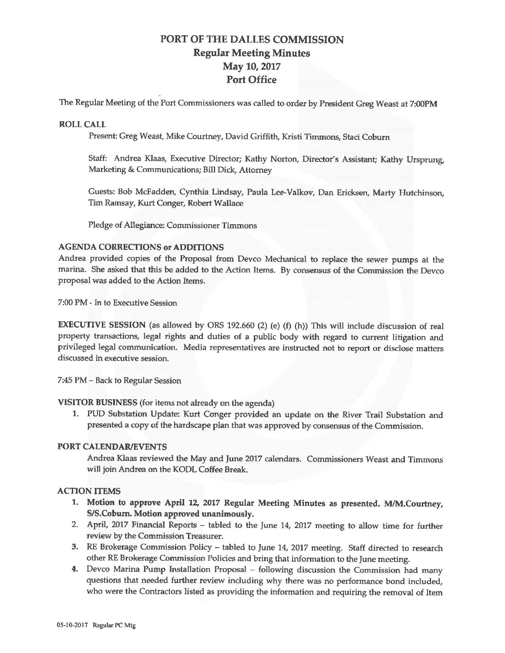# PORT OF THE DALLES COMMISSION Regular Meeting Minutes May 10, 2017 Port Office

The Regular Meeting of the Port Commissioners was called to order by President Greg Weast at 7:00PM

#### **ROLL CALL**

Present: Greg Weast, Mike Courtney, David Griffith, Kristi Timmons, Staci Coburn

Staff: Andrea Klaas, Executive Director; Kathy Norton, Director's Assistant; Kathy Ursprung, Marketing & Communications; Bill Dick, Attorney

Guests: Bob McFadden, Cynthia Lindsay, Paula Lee-Valkov, Dan Ericksen, Marty Hutchinson, Tim Ramsay, Kurt Conger, Robert Wallace

Pledge of Allegiance: Commissioner Timmons

## **AGENDA CORRECTIONS or ADDITIONS**

Andrea provided copies of the Proposal from Devco Mechanical to replace the sewer pumps at the marina. She asked that this be added to the Action Items. By consensus of the Commission the Devco proposal was added to the Action Items.

7:00 PM~ In to Executive Session

**EXECUTIVE SESSION** (as allowed by ORS 192.660 (2) (e) (f) (h)) This will include discussion of real property transactions, legal rights and duties of a public body with regard to current litigation and privileged legal communication. Media representatives are instructed not to report or disclose matters discussed in executive session.

7:45 PM - Back to Regular Session

**VISITOR BUSINESS** (for items not already on the agenda)

1. PUD Substation Update: Kurt Conger provided an update on the River Trail Substation and presented a copy of the hardscape plan that was approved by consensus of the Commission.

#### **PORT CALENDAR/EVENTS**

Andrea Klaas reviewed the May and June 2017 calendars. Commissioners Weast and Timmons will join Andrea on the KOOL Coffee Break.

### **ACTION ITEMS**

- **1. Motion to approve April 12, 2017 Regular Meeting Minutes as presented. M/M.Courtney, SIS.Coburn. Motion approved unanimously.**
- 2. April, 2017 Financial Reports tabled to the June 14, 2017 meeting to allow time for further review by the Commission Treasurer.
- 3. RE Brokerage Commission Policy tabled to June 14, 2017 meeting. Staff directed to research other RE Brokerage Commission Policies and bring that information to the June meeting.
- 4. Devco Marina Pump Installation Proposal following discussion the Commission had many questions that needed further review including why there was no performance bond included, who were the Contractors listed as providing the information and requiring the removal of Item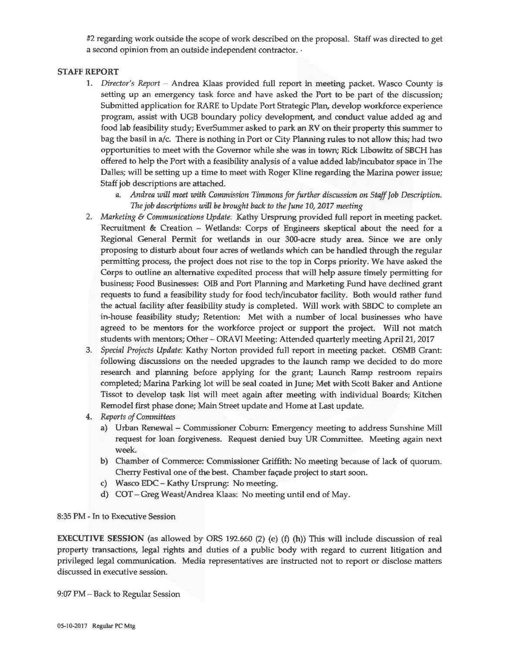#2 regarding work outside the scope of work described on the proposal. Staff was directed to get a second opinion from an outside independent contractor.  $\cdot$ 

#### **STAFF REPORT**

- 1. *Director's Report*  Andrea Klaas provided full report in meeting packet. Wasco County is setting up an emergency task force and have asked the Port to be part of the discussion; Submitted application for RARE to Update Port Strategic Plan, develop workforce experience program, assist with UGB boundary policy development, and conduct value added ag and food lab feasibility study; EverSummer asked to park an RV on their property this summer to bag the basil in a/c. There is nothing in Port or City Planning rules to not allow this; had two opportunities to meet with the Governor while she was in town; Rick Libowitz of SBCH has offered to help the Port with a feasibility analysis of a value added lab/incubator space in The Dalles; will be setting up a time to meet with Roger Kline regarding the Marina power issue; Staff job descriptions are attached.
	- *a. Andrea will meet with Commission Timmons for further discussion on Staff Job Description. The job descriptions* will *be brought back to the June 10, 2017 meeting*
- 2. *Marketing* & *Communications Update.* Kathy Ursprung provided full report in meeting packet. Recruitment & Creation - Wetlands: Corps of Engineers skeptical about the need for a Regional General Permit for wetlands in our 300-acre study area. Since we are only proposing to disturb about four acres of wetlands which can be handled through the regular permitting process, the project does not rise to the top in Corps priority. We have asked the Corps to outline an alternative expedited process that will help assure timely permitting for business; Food Businesses: OIB and Port Planning and Marketing Fund have declined grant requests to fund a feasibility study for food tech/incubator facility. Both would rather fund the actual facility after feasibility study is completed. Will work with SBDC to complete an in-house feasibility study; Retention: Met with a number of local businesses who have agreed to be mentors for the workforce project or support the project. Will not match students with mentors; Other - ORA VI Meeting: Attended quarterly meeting April 21, 2017
- 3. *Special Projects Update:* Kathy Norton provided full report in meeting packet. OSMB Grant: following discussions on the needed upgrades to the launch ramp we decided to do more research and planning before applying for the grant; Launch Ramp restroom repairs completed; Marina Parking lot will be seal coated in June; Met with Scott Baker and Antione Tissot to develop task list will meet again after meeting with individual Boards; Kitchen Remodel first phase done; Main Street update and Home at Last update.
- 4. *Reports of Committees* 
	- a) Urban Renewal Commissioner Coburn: Emergency meeting to address Sunshine Mill request for loan forgiveness. Request denied buy UR Committee. Meeting again next week.
	- b) Chamber of Commerce: Commissioner Griffith: No meeting because of lack of quorum. Cherry Festival one of the best. Chamber façade project to start soon.
	- c) Wasco EDC- Kathy Ursprung: No meeting.
	- d) COT Greg Weast/Andrea Klaas: No meeting until end of May.

8:35 PM ~ In to Executive Session

**EXECUTIVE SESSION** (as allowed by ORS 192.660 (2) (e) (f) (h)) This will include discussion of real property transactions, legal rights and duties of a public body with regard to current litigation and privileged legal communication. Media representatives are instructed not to report or disclose matters discussed in executive session.

9:07 PM - Back to Regular Session